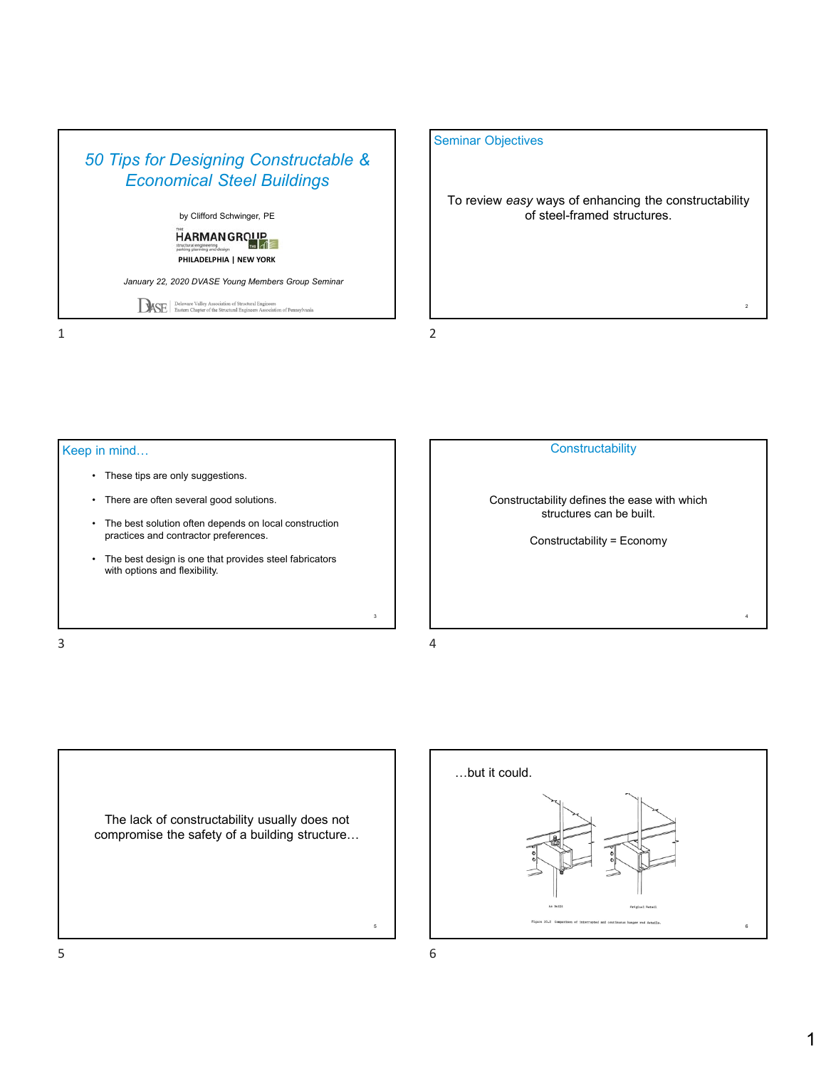

### Seminar Objectives

To review *easy* ways of enhancing the constructability of steel-framed structures.

Keep in mind…

- These tips are only suggestions.
- There are often several good solutions.
- The best solution often depends on local construction practices and contractor preferences.
- The best design is one that provides steel fabricators with options and flexibility.

 $\frac{3}{4}$ 



Constructability defines the ease with which structures can be built.

Constructability = Economy

The lack of constructability usually does not compromise the safety of a building structure…



3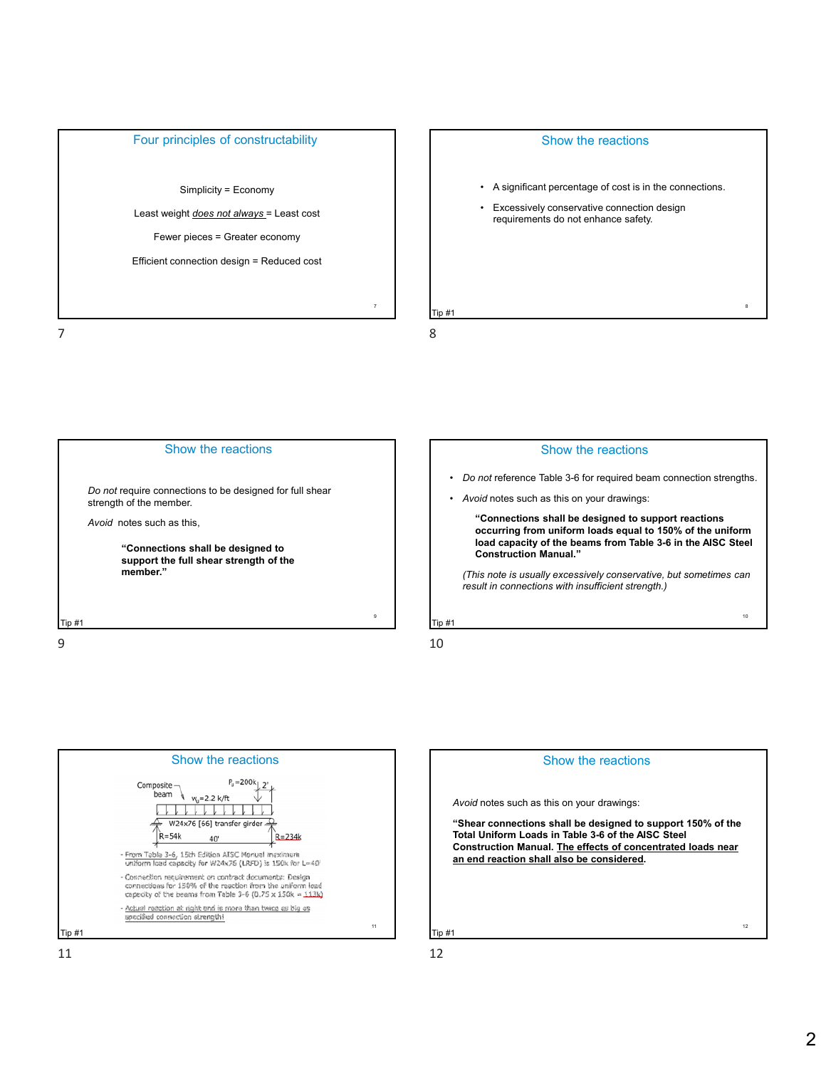

Simplicity = Economy

Least weight *does not always* = Least cost

Fewer pieces = Greater economy

Efficient connection design = Reduced cost











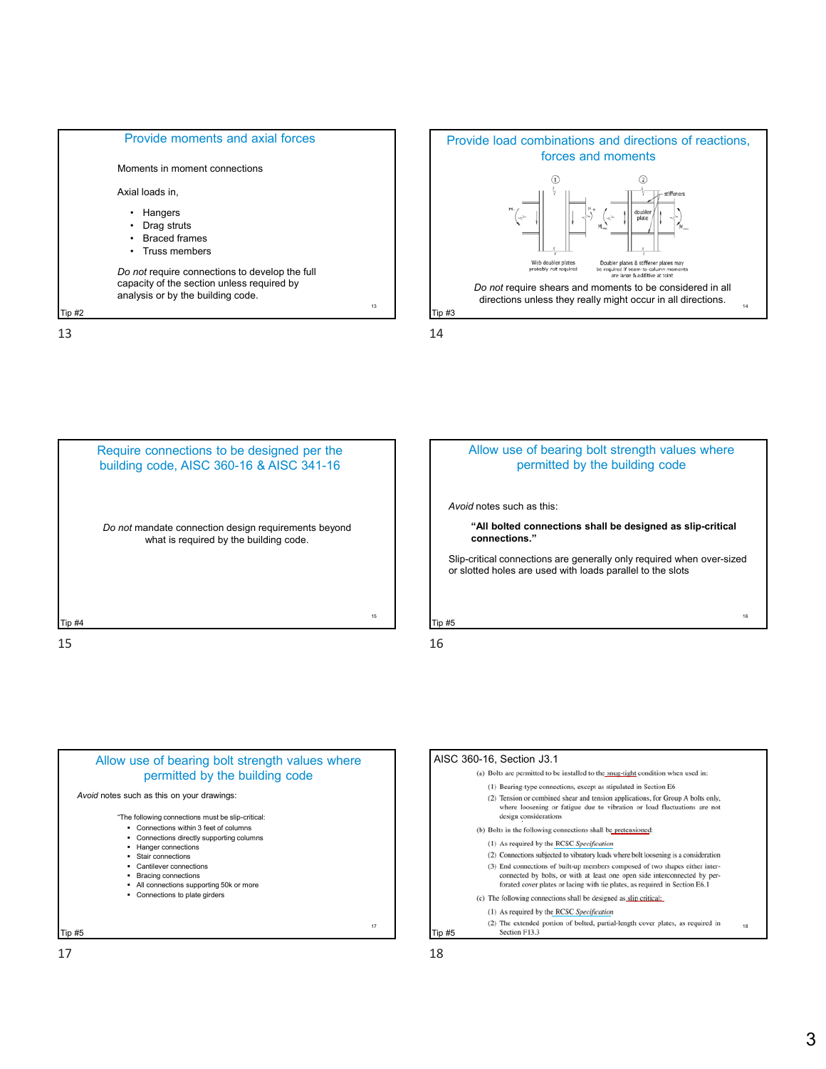













 $17$  and  $18$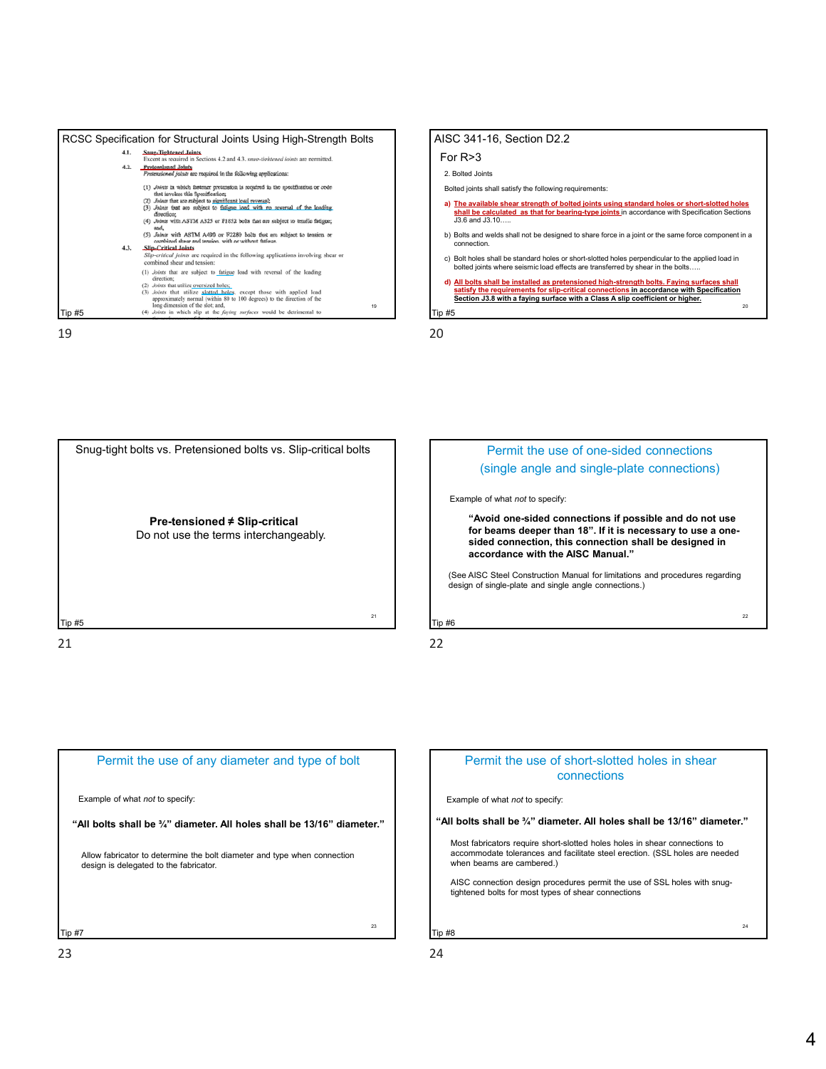











#### Permit the use of short-slotted holes in shear connections

Example of what *not* to specify:

**"All bolts shall be ¾" diameter. All holes shall be 13/16" diameter."**

Most fabricators require short-slotted holes holes in shear connections to accommodate tolerances and facilitate steel erection. (SSL holes are needed when beams are cambered.)

AISC connection design procedures permit the use of SSL holes with snugtightened bolts for most types of shear connections

Tip #8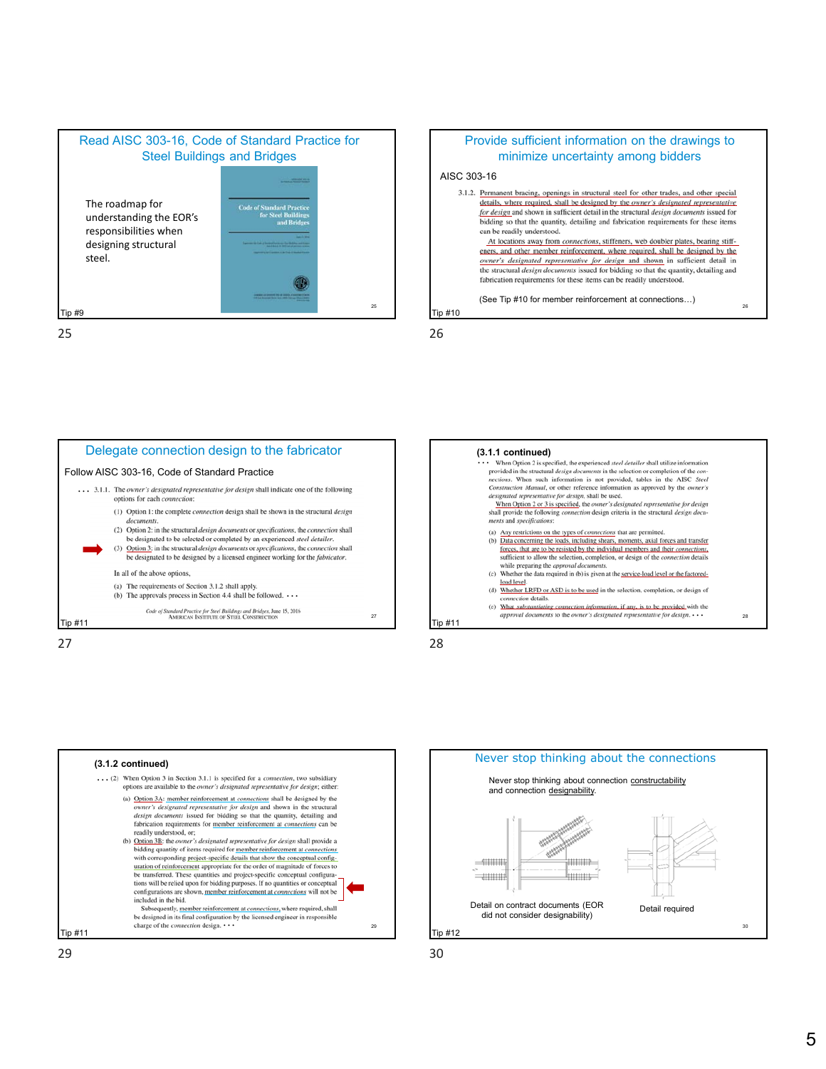



25 26 (See Tip #10 for member reinforcement at connections…)

Tip #10











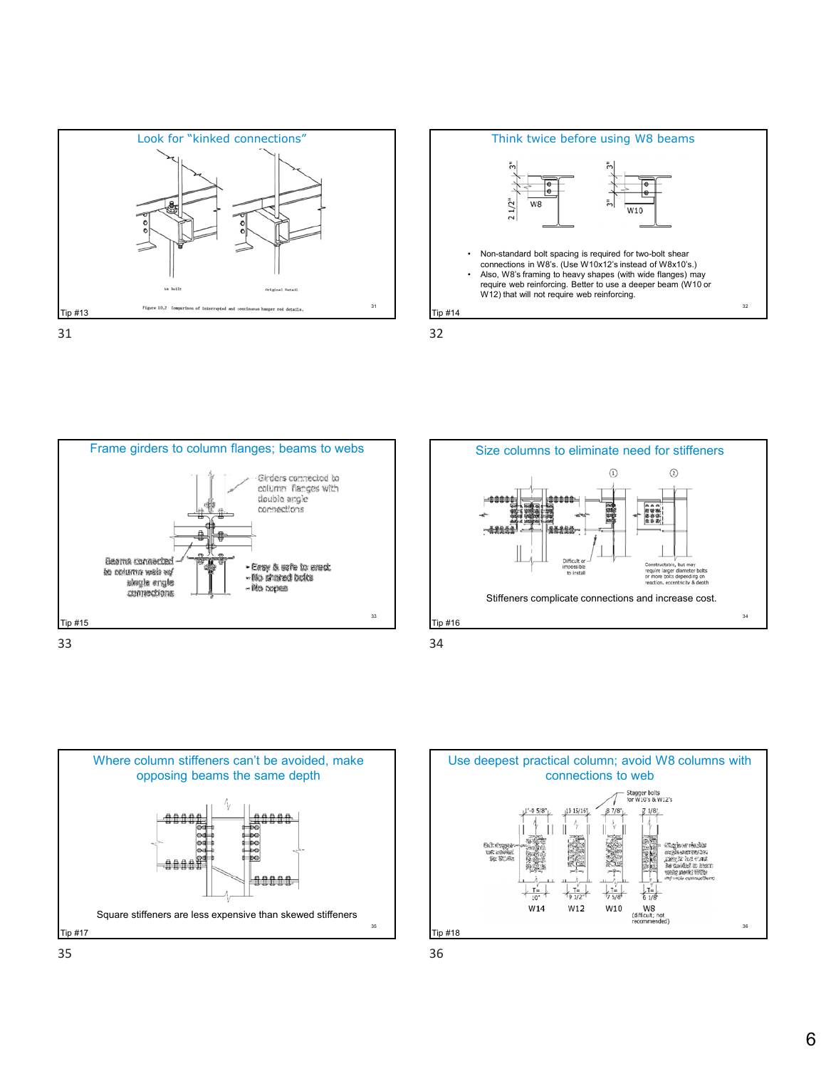















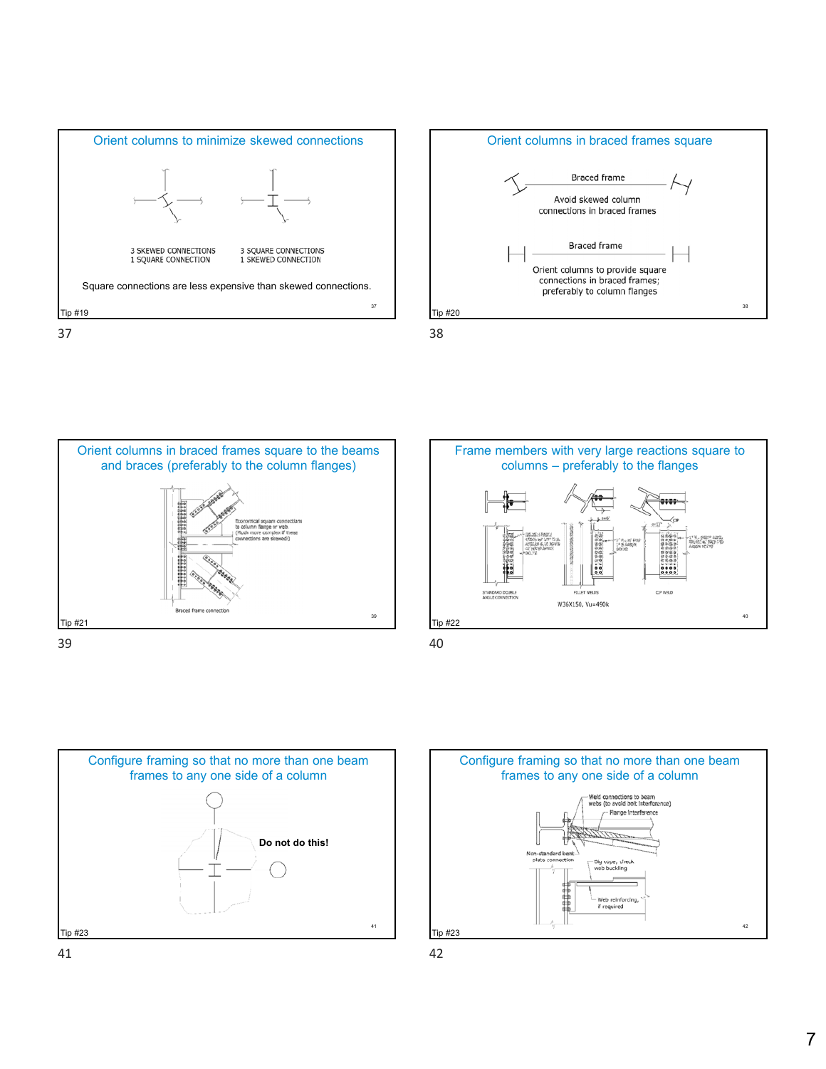











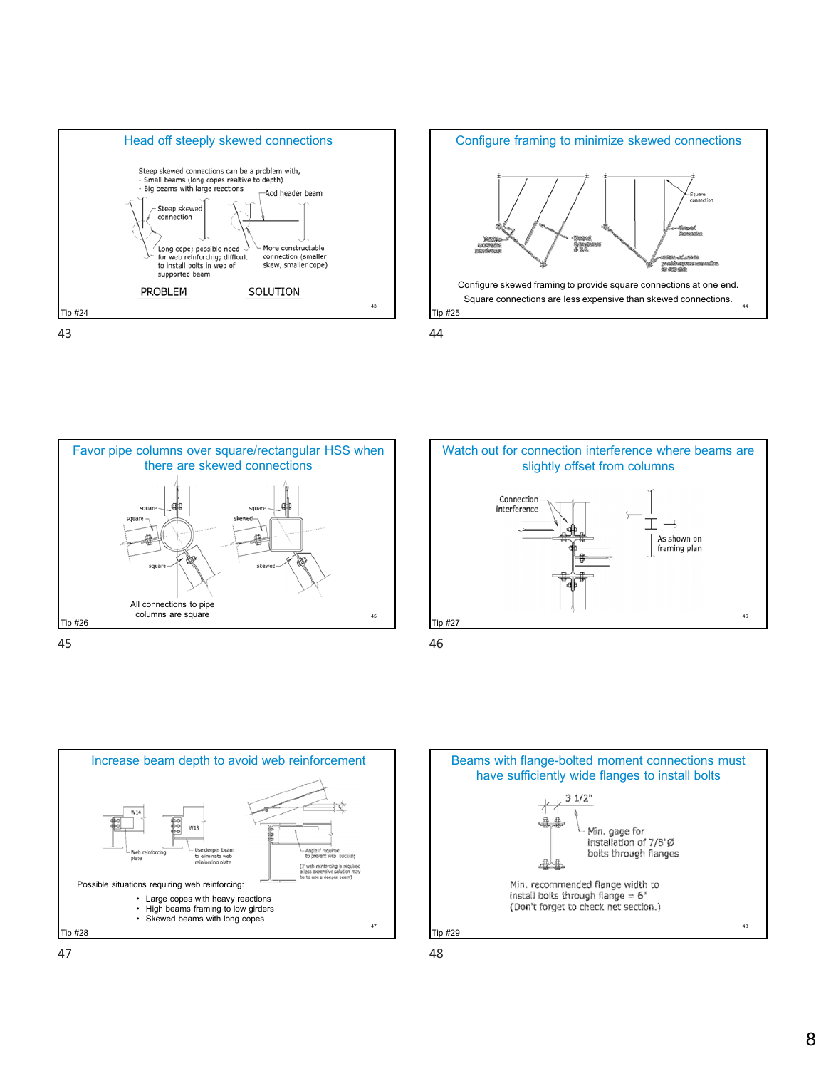



Favor pipe columns over square/rectangular HSS when there are skewed connections squa square All connections to pipe columns are square 45 Tip #26 45 46









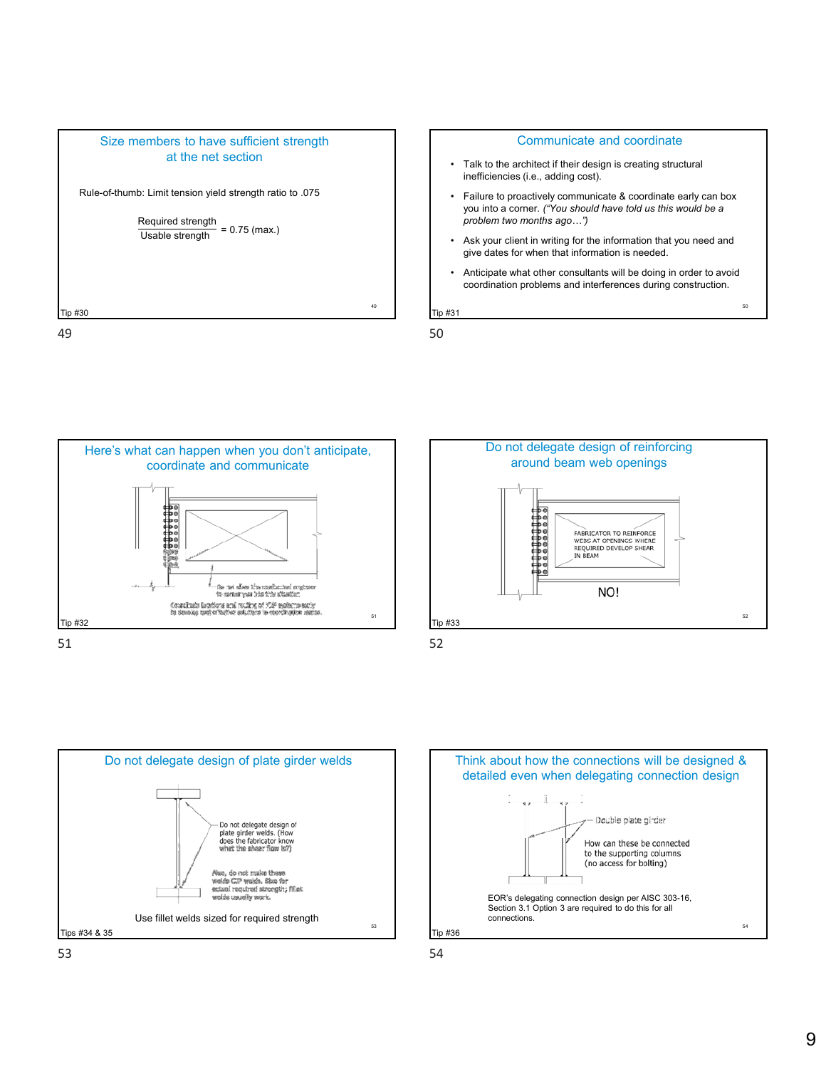











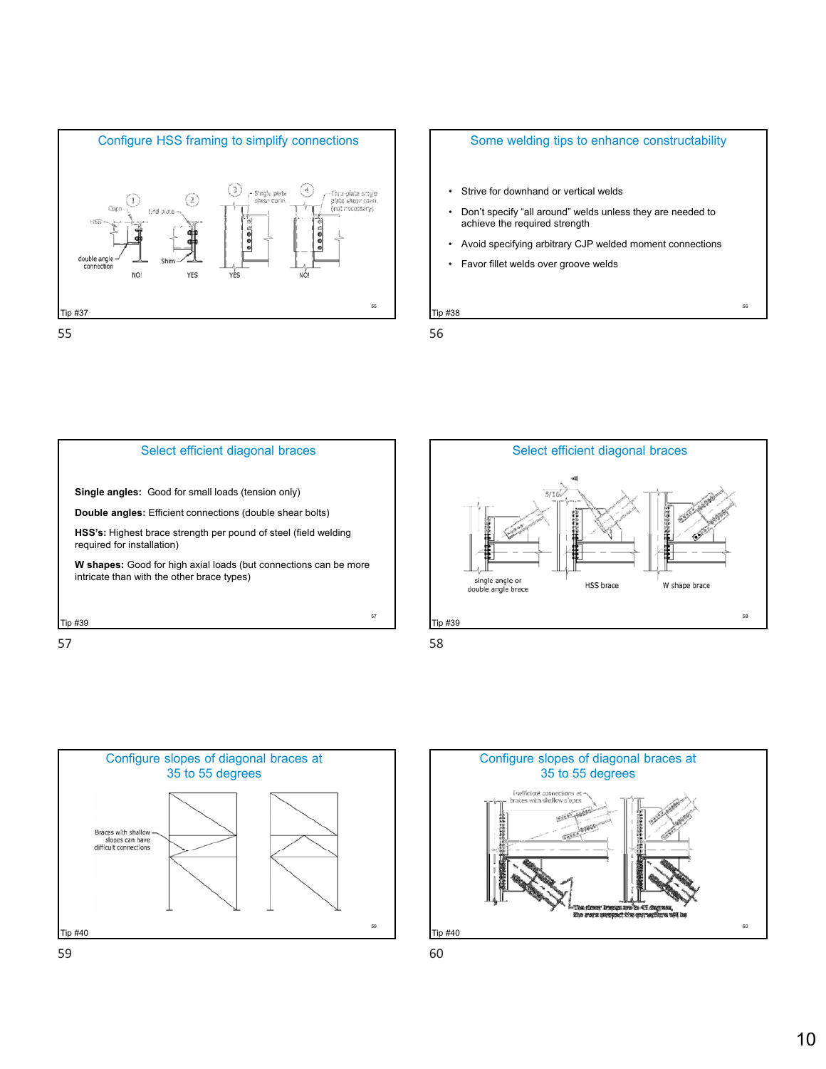

## Some welding tips to enhance constructability

- Strive for downhand or vertical welds
- Don't specify "all around" welds unless they are needed to achieve the required strength
- Avoid specifying arbitrary CJP welded moment connections

56

• Favor fillet welds over groove welds

Tip #38







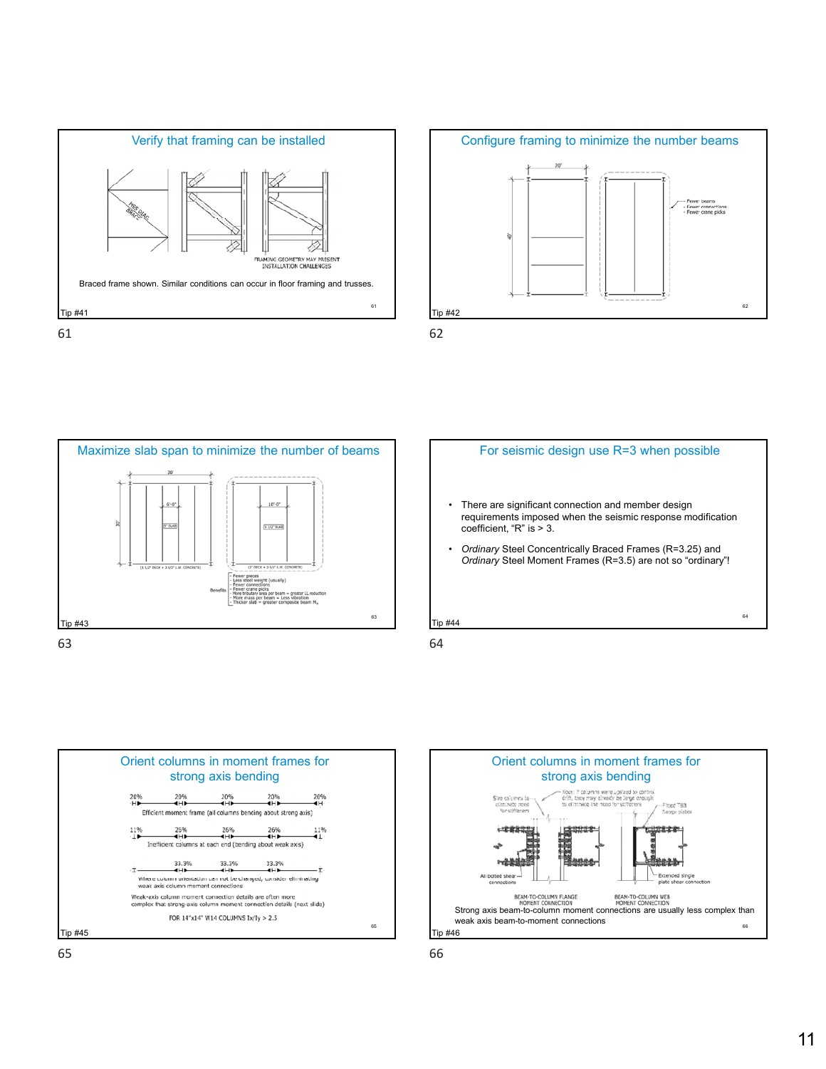













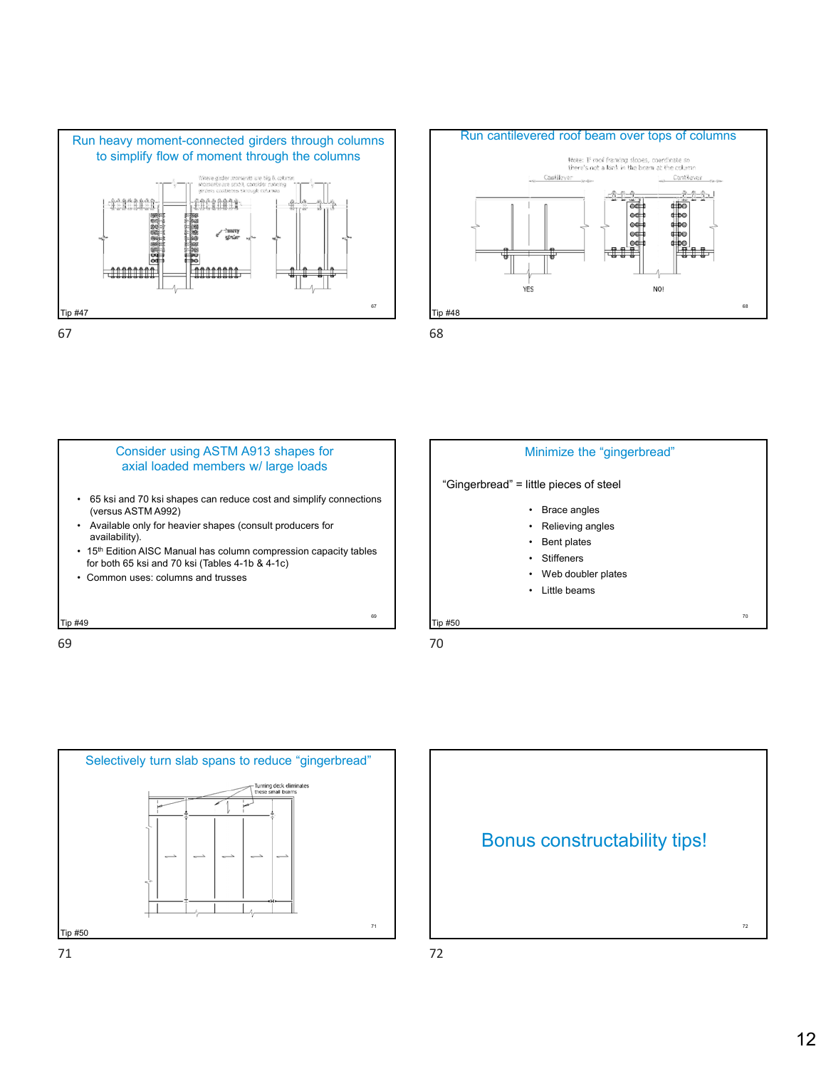









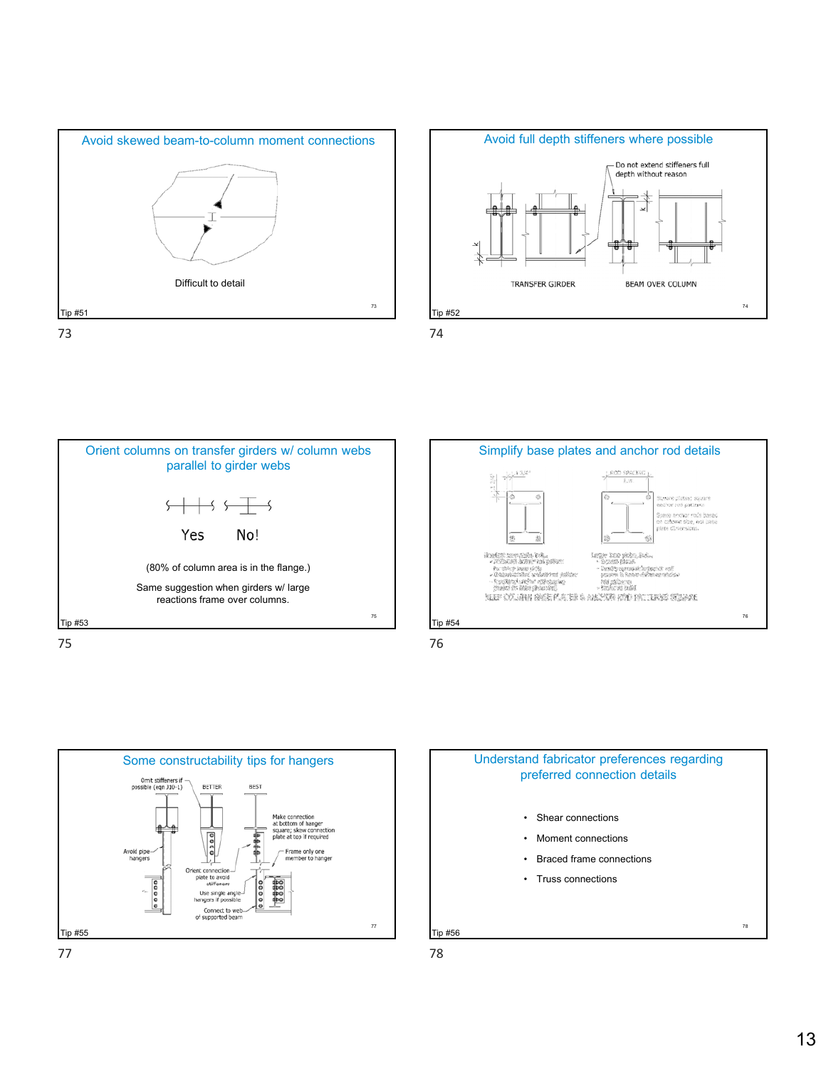